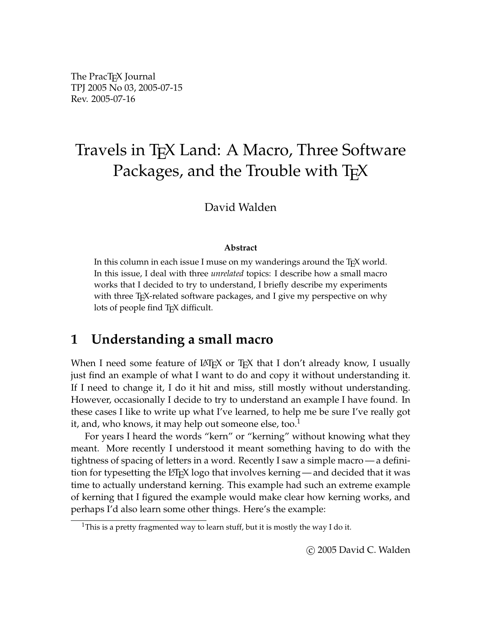The PracT<sub>E</sub>X Journal TPJ 2005 No 03, 2005-07-15 Rev. 2005-07-16

# Travels in T<sub>F</sub>X Land: A Macro, Three Software Packages, and the Trouble with TEX

#### David Walden

#### **Abstract**

In this column in each issue I muse on my wanderings around the T<sub>E</sub>X world. In this issue, I deal with three *unrelated* topics: I describe how a small macro works that I decided to try to understand, I briefly describe my experiments with three T<sub>E</sub>X-related software packages, and I give my perspective on why lots of people find T<sub>E</sub>X difficult.

# **1 Understanding a small macro**

When I need some feature of  $\text{LATEX}$  or  $\text{TeX}$  that I don't already know, I usually just find an example of what I want to do and copy it without understanding it. If I need to change it, I do it hit and miss, still mostly without understanding. However, occasionally I decide to try to understand an example I have found. In these cases I like to write up what I've learned, to help me be sure I've really got it, and, who knows, it may help out someone else, too. $<sup>1</sup>$ </sup>

For years I heard the words "kern" or "kerning" without knowing what they meant. More recently I understood it meant something having to do with the tightness of spacing of letters in a word. Recently I saw a simple macro — a definition for typesetting the L<sup>A</sup>T<sub>E</sub>X logo that involves kerning — and decided that it was time to actually understand kerning. This example had such an extreme example of kerning that I figured the example would make clear how kerning works, and perhaps I'd also learn some other things. Here's the example:

<sup>&</sup>lt;sup>1</sup>This is a pretty fragmented way to learn stuff, but it is mostly the way I do it.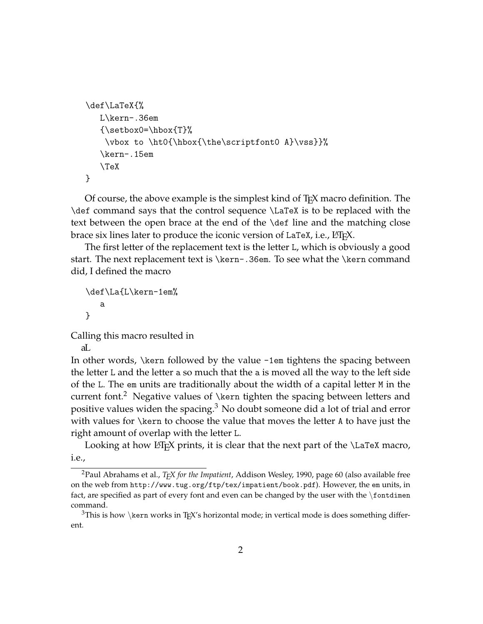```
\def\LaTeX{%
   L\kern-.36em
   {\setbox0=\hbox{T}%
    \vbox to \ht0{\hbox{\the\scriptfont0 A}\vss}}%
   \kern-.15em
   \TeX
}
```
Of course, the above example is the simplest kind of T<sub>E</sub>X macro definition. The \def command says that the control sequence \LaTeX is to be replaced with the text between the open brace at the end of the \def line and the matching close brace six lines later to produce the iconic version of LaTeX, i.e., LATEX.

The first letter of the replacement text is the letter L, which is obviously a good start. The next replacement text is \kern-.36em. To see what the \kern command did, I defined the macro

```
\def\La{L\kern-1em%
   a
}
```
Calling this macro resulted in

La

In other words, \kern followed by the value -1em tightens the spacing between the letter L and the letter a so much that the a is moved all the way to the left side of the L. The em units are traditionally about the width of a capital letter M in the current font.<sup>2</sup> Negative values of \kern tighten the spacing between letters and positive values widen the spacing.<sup>3</sup> No doubt someone did a lot of trial and error with values for \kern to choose the value that moves the letter A to have just the right amount of overlap with the letter L.

Looking at how  $\langle$  ET<sub>E</sub>X prints, it is clear that the next part of the  $\langle$ LaTeX macro, i.e.,

<sup>2</sup>Paul Abrahams et al., *TEX for the Impatient*, Addison Wesley, 1990, page 60 (also available free on the web from http://www.tug.org/ftp/tex/impatient/book.pdf). However, the em units, in fact, are specified as part of every font and even can be changed by the user with the \fontdimen command.

<sup>&</sup>lt;sup>3</sup>This is how \kern works in T<sub>E</sub>X's horizontal mode; in vertical mode is does something different.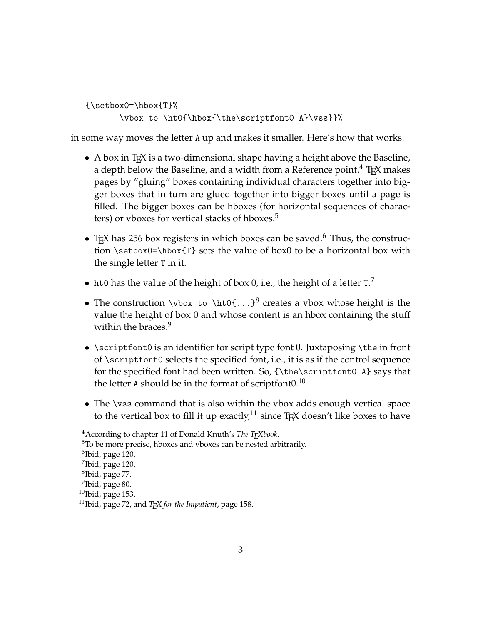${\setminus$ setbox $0=\hbox{hbox}$  $T}$ % \vbox to \ht0{\hbox{\the\scriptfont0 A}\vss}}%

in some way moves the letter A up and makes it smaller. Here's how that works.

- A box in T<sub>F</sub>X is a two-dimensional shape having a height above the Baseline, a depth below the Baseline, and a width from a Reference point.<sup>4</sup> T<sub>F</sub>X makes pages by "gluing" boxes containing individual characters together into bigger boxes that in turn are glued together into bigger boxes until a page is filled. The bigger boxes can be hboxes (for horizontal sequences of characters) or vboxes for vertical stacks of hboxes.<sup>5</sup>
- TEX has 256 box registers in which boxes can be saved.<sup>6</sup> Thus, the construction \setbox0=\hbox{T} sets the value of box0 to be a horizontal box with the single letter T in it.
- ht0 has the value of the height of box 0, i.e., the height of a letter  $T$ .
- The construction \vbox to \ht0{...}<sup>8</sup> creates a vbox whose height is the value the height of box 0 and whose content is an hbox containing the stuff within the braces.<sup>9</sup>
- \scriptfont0 is an identifier for script type font 0. Juxtaposing \the in front of \scriptfont0 selects the specified font, i.e., it is as if the control sequence for the specified font had been written. So, {\the\scriptfont0 A} says that the letter A should be in the format of scriptfont $0.10$
- The \vss command that is also within the vbox adds enough vertical space to the vertical box to fill it up exactly,<sup>11</sup> since  $Tr[X]$  doesn't like boxes to have

<sup>4</sup>According to chapter 11 of Donald Knuth's *The TEXbook*.

<sup>&</sup>lt;sup>5</sup>To be more precise, hboxes and vboxes can be nested arbitrarily.

 $^6$ Ibid, page 120.

 $^7$ Ibid, page 120.

<sup>8</sup> Ibid, page 77.

<sup>&</sup>lt;sup>9</sup>Ibid, page 80.

 $10$ Ibid, page 153.

<sup>11</sup>Ibid, page 72, and *TEX for the Impatient*, page 158.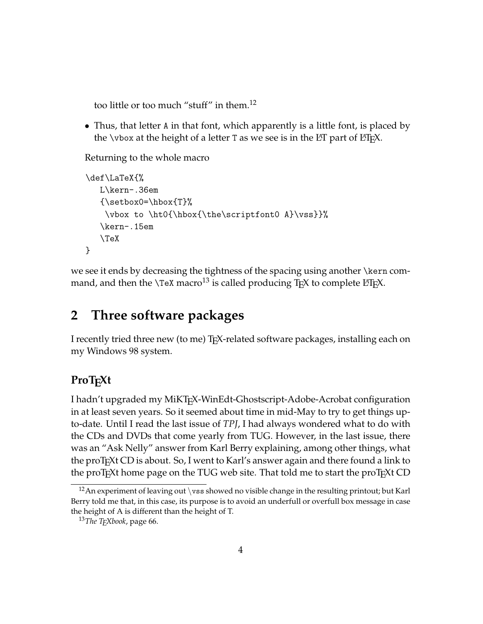too little or too much "stuff" in them.<sup>12</sup>

• Thus, that letter A in that font, which apparently is a little font, is placed by the \vbox at the height of a letter T as we see is in the  $\text{ET}$  part of  $\text{ET}$ <sub>F</sub>X.

Returning to the whole macro

```
\def\LaTeX{%
   L\kern-.36em
   {\setminussetbox0=\hbox{hbox{T}}%
    \vbox to \ht0{\hbox{\the\scriptfont0 A}\vss}}%
   \kern-.15em
   \TeX
}
```
we see it ends by decreasing the tightness of the spacing using another \kern command, and then the \TeX macro<sup>13</sup> is called producing T<sub>E</sub>X to complete L<sup>AT</sup>EX.

### **2 Three software packages**

I recently tried three new (to me) T<sub>F</sub>X-related software packages, installing each on my Windows 98 system.

#### **ProTEXt**

I hadn't upgraded my MiKTEX-WinEdt-Ghostscript-Adobe-Acrobat configuration in at least seven years. So it seemed about time in mid-May to try to get things upto-date. Until I read the last issue of *TPJ*, I had always wondered what to do with the CDs and DVDs that come yearly from TUG. However, in the last issue, there was an "Ask Nelly" answer from Karl Berry explaining, among other things, what the proT<sub>E</sub>Xt CD is about. So, I went to Karl's answer again and there found a link to the proTEXt home page on the TUG web site. That told me to start the proTEXt CD

<sup>&</sup>lt;sup>12</sup> An experiment of leaving out \vss showed no visible change in the resulting printout; but Karl Berry told me that, in this case, its purpose is to avoid an underfull or overfull box message in case the height of A is different than the height of T.

<sup>13</sup>*The TEXbook*, page 66.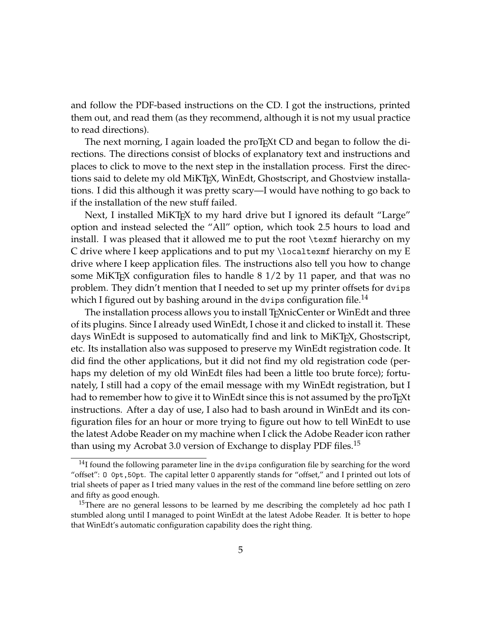and follow the PDF-based instructions on the CD. I got the instructions, printed them out, and read them (as they recommend, although it is not my usual practice to read directions).

The next morning, I again loaded the proT<sub>E</sub>Xt CD and began to follow the directions. The directions consist of blocks of explanatory text and instructions and places to click to move to the next step in the installation process. First the directions said to delete my old MiKT<sub>E</sub>X, WinEdt, Ghostscript, and Ghostview installations. I did this although it was pretty scary—I would have nothing to go back to if the installation of the new stuff failed.

Next, I installed MiKT<sub>EX</sub> to my hard drive but I ignored its default "Large" option and instead selected the "All" option, which took 2.5 hours to load and install. I was pleased that it allowed me to put the root \texmf hierarchy on my C drive where I keep applications and to put my \localtexmf hierarchy on my E drive where I keep application files. The instructions also tell you how to change some MiKT<sub>E</sub>X configuration files to handle  $8\frac{1}{2}$  by 11 paper, and that was no problem. They didn't mention that I needed to set up my printer offsets for dvips which I figured out by bashing around in the dvips configuration file.<sup>14</sup>

The installation process allows you to install T<sub>E</sub>XnicCenter or WinEdt and three of its plugins. Since I already used WinEdt, I chose it and clicked to install it. These days WinEdt is supposed to automatically find and link to MiKT<sub>E</sub>X, Ghostscript, etc. Its installation also was supposed to preserve my WinEdt registration code. It did find the other applications, but it did not find my old registration code (perhaps my deletion of my old WinEdt files had been a little too brute force); fortunately, I still had a copy of the email message with my WinEdt registration, but I had to remember how to give it to WinEdt since this is not assumed by the proTEXt instructions. After a day of use, I also had to bash around in WinEdt and its configuration files for an hour or more trying to figure out how to tell WinEdt to use the latest Adobe Reader on my machine when I click the Adobe Reader icon rather than using my Acrobat 3.0 version of Exchange to display PDF files.<sup>15</sup>

 $14$ I found the following parameter line in the dvips configuration file by searching for the word "offset": O 0pt,50pt. The capital letter O apparently stands for "offset," and I printed out lots of trial sheets of paper as I tried many values in the rest of the command line before settling on zero and fifty as good enough.

<sup>&</sup>lt;sup>15</sup>There are no general lessons to be learned by me describing the completely ad hoc path I stumbled along until I managed to point WinEdt at the latest Adobe Reader. It is better to hope that WinEdt's automatic configuration capability does the right thing.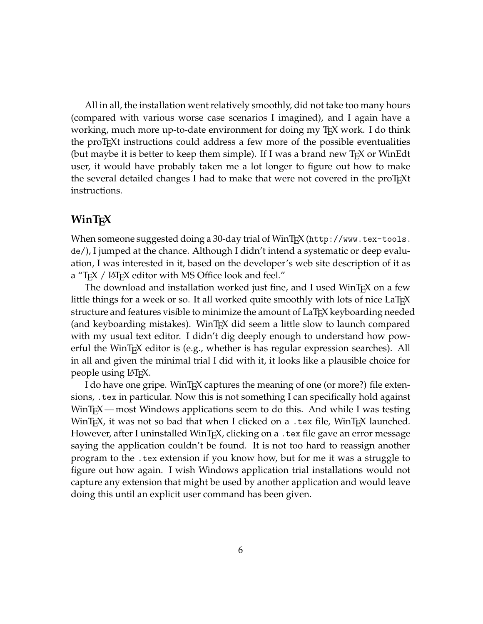All in all, the installation went relatively smoothly, did not take too many hours (compared with various worse case scenarios I imagined), and I again have a working, much more up-to-date environment for doing my T<sub>F</sub>X work. I do think the proTEXt instructions could address a few more of the possible eventualities (but maybe it is better to keep them simple). If I was a brand new  $T<sub>F</sub>X$  or WinEdt user, it would have probably taken me a lot longer to figure out how to make the several detailed changes I had to make that were not covered in the proT<sub>E</sub>Xt instructions.

#### **WinTEX**

When someone suggested doing a 30-day trial of WinT<sub>F</sub>X (http://www.tex-tools. de/), I jumped at the chance. Although I didn't intend a systematic or deep evaluation, I was interested in it, based on the developer's web site description of it as a "T<sub>E</sub>X / LAT<sub>E</sub>X editor with MS Office look and feel."

The download and installation worked just fine, and I used WinT<sub>E</sub>X on a few little things for a week or so. It all worked quite smoothly with lots of nice  $LaTrX$ structure and features visible to minimize the amount of LaTEX keyboarding needed (and keyboarding mistakes). WinT<sub>E</sub>X did seem a little slow to launch compared with my usual text editor. I didn't dig deeply enough to understand how powerful the WinT<sub>E</sub>X editor is (e.g., whether is has regular expression searches). All in all and given the minimal trial I did with it, it looks like a plausible choice for people using LATEX.

I do have one gripe. WinTEX captures the meaning of one (or more?) file extensions, .tex in particular. Now this is not something I can specifically hold against WinT<sub>E</sub>X — most Windows applications seem to do this. And while I was testing WinT<sub>E</sub>X, it was not so bad that when I clicked on a .tex file, WinT<sub>E</sub>X launched. However, after I uninstalled WinT<sub>F</sub>X, clicking on a .tex file gave an error message saying the application couldn't be found. It is not too hard to reassign another program to the .tex extension if you know how, but for me it was a struggle to figure out how again. I wish Windows application trial installations would not capture any extension that might be used by another application and would leave doing this until an explicit user command has been given.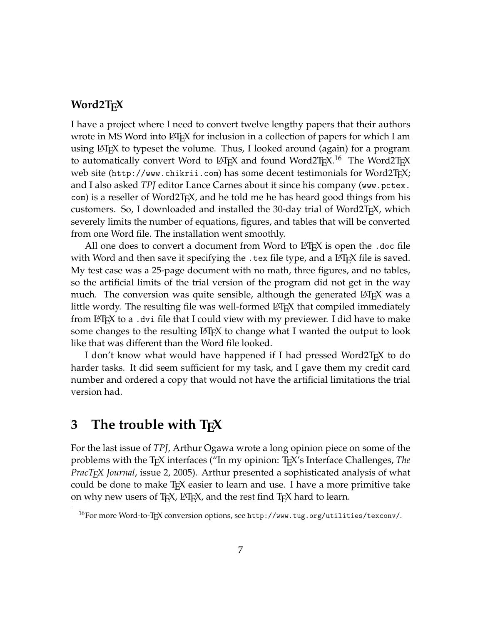#### **Word2TEX**

I have a project where I need to convert twelve lengthy papers that their authors wrote in MS Word into  $\triangle F$ <sub>F</sub>X for inclusion in a collection of papers for which I am using  $\Delta E$ <sub>E</sub>X to typeset the volume. Thus, I looked around (again) for a program to automatically convert Word to LAT<sub>E</sub>X and found Word2T<sub>F</sub>X.<sup>16</sup> The Word2T<sub>F</sub>X web site (http://www.chikrii.com) has some decent testimonials for Word2T<sub>E</sub>X; and I also asked *TPJ* editor Lance Carnes about it since his company (www.pctex. com) is a reseller of Word2T<sub>E</sub>X, and he told me he has heard good things from his customers. So, I downloaded and installed the 30-day trial of Word2T<sub>E</sub>X, which severely limits the number of equations, figures, and tables that will be converted from one Word file. The installation went smoothly.

All one does to convert a document from Word to LAT<sub>E</sub>X is open the .doc file with Word and then save it specifying the .tex file type, and a LAT<sub>E</sub>X file is saved. My test case was a 25-page document with no math, three figures, and no tables, so the artificial limits of the trial version of the program did not get in the way much. The conversion was quite sensible, although the generated LAT<sub>E</sub>X was a little wordy. The resulting file was well-formed LAT<sub>E</sub>X that compiled immediately from LATEX to a .dvi file that I could view with my previewer. I did have to make some changes to the resulting  $\mathbb{E}E[X]$  to change what I wanted the output to look like that was different than the Word file looked.

I don't know what would have happened if I had pressed Word2T<sub>E</sub>X to do harder tasks. It did seem sufficient for my task, and I gave them my credit card number and ordered a copy that would not have the artificial limitations the trial version had.

## **3 The trouble with TEX**

For the last issue of *TPJ*, Arthur Ogawa wrote a long opinion piece on some of the problems with the TEX interfaces ("In my opinion: TEX's Interface Challenges, *The PracTEX Journal*, issue 2, 2005). Arthur presented a sophisticated analysis of what could be done to make T<sub>E</sub>X easier to learn and use. I have a more primitive take on why new users of  $T_F X$ ,  $\triangle F_F X$ , and the rest find  $T_F X$  hard to learn.

<sup>16</sup>For more Word-to-TEX conversion options, see http://www.tug.org/utilities/texconv/.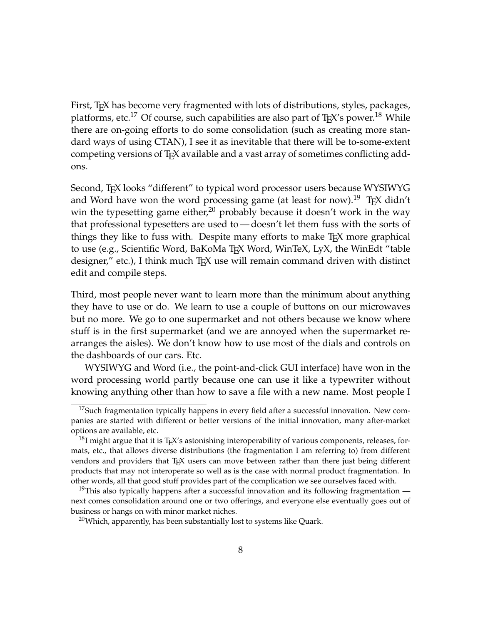First, T<sub>E</sub>X has become very fragmented with lots of distributions, styles, packages, platforms, etc.<sup>17</sup> Of course, such capabilities are also part of T<sub>E</sub>X's power.<sup>18</sup> While there are on-going efforts to do some consolidation (such as creating more standard ways of using CTAN), I see it as inevitable that there will be to-some-extent competing versions of TEX available and a vast array of sometimes conflicting addons.

Second, T<sub>E</sub>X looks "different" to typical word processor users because WYSIWYG and Word have won the word processing game (at least for now).<sup>19</sup> T<sub>E</sub>X didn't win the typesetting game either, $^{20}$  probably because it doesn't work in the way that professional typesetters are used to — doesn't let them fuss with the sorts of things they like to fuss with. Despite many efforts to make T<sub>E</sub>X more graphical to use (e.g., Scientific Word, BaKoMa T<sub>E</sub>X Word, WinTeX, LyX, the WinEdt "table designer," etc.), I think much T<sub>F</sub>X use will remain command driven with distinct edit and compile steps.

Third, most people never want to learn more than the minimum about anything they have to use or do. We learn to use a couple of buttons on our microwaves but no more. We go to one supermarket and not others because we know where stuff is in the first supermarket (and we are annoyed when the supermarket rearranges the aisles). We don't know how to use most of the dials and controls on the dashboards of our cars. Etc.

WYSIWYG and Word (i.e., the point-and-click GUI interface) have won in the word processing world partly because one can use it like a typewriter without knowing anything other than how to save a file with a new name. Most people I

 $17$ Such fragmentation typically happens in every field after a successful innovation. New companies are started with different or better versions of the initial innovation, many after-market options are available, etc.

 $^{18}$ I might argue that it is TEX's astonishing interoperability of various components, releases, formats, etc., that allows diverse distributions (the fragmentation I am referring to) from different vendors and providers that T<sub>E</sub>X users can move between rather than there just being different products that may not interoperate so well as is the case with normal product fragmentation. In other words, all that good stuff provides part of the complication we see ourselves faced with.

<sup>&</sup>lt;sup>19</sup>This also typically happens after a successful innovation and its following fragmentation next comes consolidation around one or two offerings, and everyone else eventually goes out of business or hangs on with minor market niches.

<sup>&</sup>lt;sup>20</sup>Which, apparently, has been substantially lost to systems like Quark.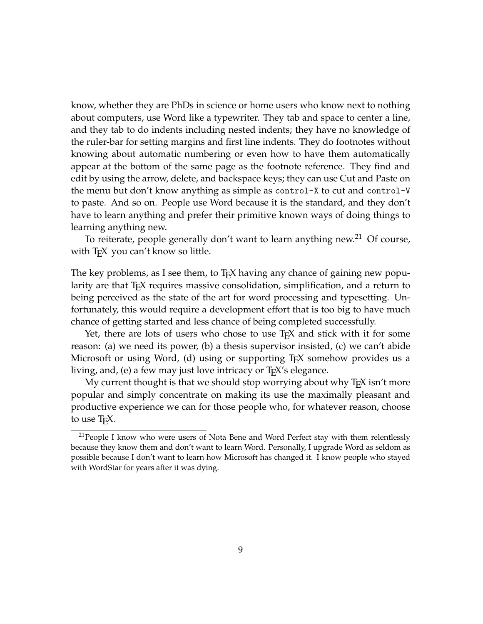know, whether they are PhDs in science or home users who know next to nothing about computers, use Word like a typewriter. They tab and space to center a line, and they tab to do indents including nested indents; they have no knowledge of the ruler-bar for setting margins and first line indents. They do footnotes without knowing about automatic numbering or even how to have them automatically appear at the bottom of the same page as the footnote reference. They find and edit by using the arrow, delete, and backspace keys; they can use Cut and Paste on the menu but don't know anything as simple as control-X to cut and control-V to paste. And so on. People use Word because it is the standard, and they don't have to learn anything and prefer their primitive known ways of doing things to learning anything new.

To reiterate, people generally don't want to learn anything new.<sup>21</sup> Of course, with T<sub>F</sub>X you can't know so little.

The key problems, as I see them, to T<sub>E</sub>X having any chance of gaining new popularity are that TEX requires massive consolidation, simplification, and a return to being perceived as the state of the art for word processing and typesetting. Unfortunately, this would require a development effort that is too big to have much chance of getting started and less chance of being completed successfully.

Yet, there are lots of users who chose to use T<sub>E</sub>X and stick with it for some reason: (a) we need its power, (b) a thesis supervisor insisted, (c) we can't abide Microsoft or using Word, (d) using or supporting T<sub>E</sub>X somehow provides us a living, and, (e) a few may just love intricacy or T<sub>E</sub>X's elegance.

My current thought is that we should stop worrying about why  $T<sub>F</sub>X$  isn't more popular and simply concentrate on making its use the maximally pleasant and productive experience we can for those people who, for whatever reason, choose to use T<sub>F</sub>X.

 $21$ People I know who were users of Nota Bene and Word Perfect stay with them relentlessly because they know them and don't want to learn Word. Personally, I upgrade Word as seldom as possible because I don't want to learn how Microsoft has changed it. I know people who stayed with WordStar for years after it was dying.